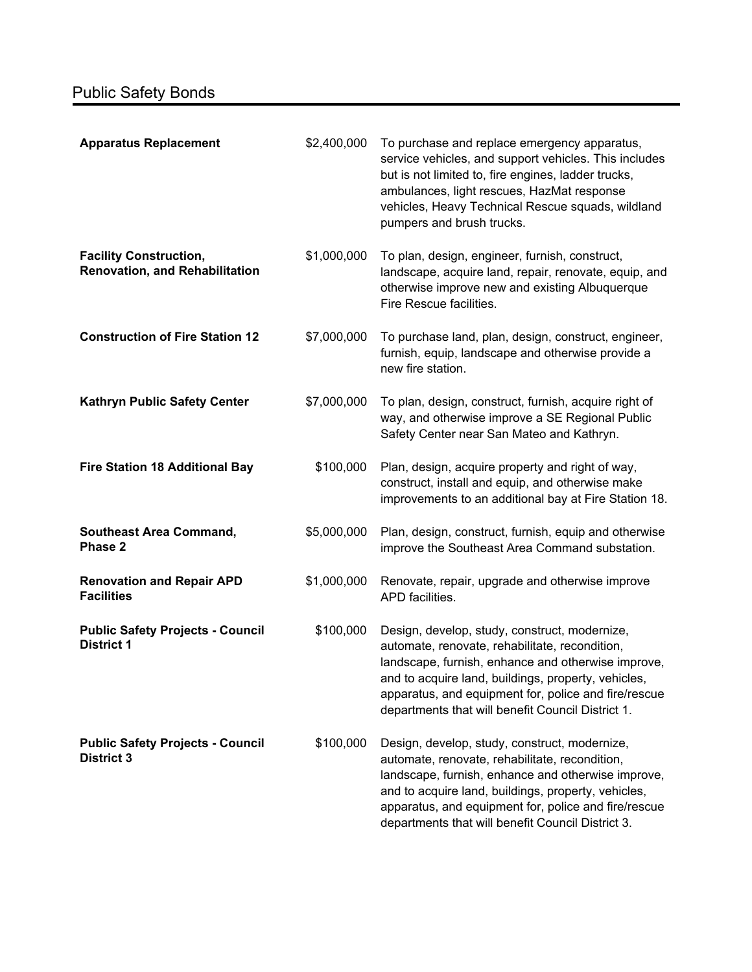| <b>Apparatus Replacement</b>                                           | \$2,400,000 | To purchase and replace emergency apparatus,<br>service vehicles, and support vehicles. This includes<br>but is not limited to, fire engines, ladder trucks,<br>ambulances, light rescues, HazMat response<br>vehicles, Heavy Technical Rescue squads, wildland<br>pumpers and brush trucks.                              |
|------------------------------------------------------------------------|-------------|---------------------------------------------------------------------------------------------------------------------------------------------------------------------------------------------------------------------------------------------------------------------------------------------------------------------------|
| <b>Facility Construction,</b><br><b>Renovation, and Rehabilitation</b> | \$1,000,000 | To plan, design, engineer, furnish, construct,<br>landscape, acquire land, repair, renovate, equip, and<br>otherwise improve new and existing Albuquerque<br>Fire Rescue facilities.                                                                                                                                      |
| <b>Construction of Fire Station 12</b>                                 | \$7,000,000 | To purchase land, plan, design, construct, engineer,<br>furnish, equip, landscape and otherwise provide a<br>new fire station.                                                                                                                                                                                            |
| Kathryn Public Safety Center                                           | \$7,000,000 | To plan, design, construct, furnish, acquire right of<br>way, and otherwise improve a SE Regional Public<br>Safety Center near San Mateo and Kathryn.                                                                                                                                                                     |
| <b>Fire Station 18 Additional Bay</b>                                  | \$100,000   | Plan, design, acquire property and right of way,<br>construct, install and equip, and otherwise make<br>improvements to an additional bay at Fire Station 18.                                                                                                                                                             |
| <b>Southeast Area Command,</b><br>Phase 2                              | \$5,000,000 | Plan, design, construct, furnish, equip and otherwise<br>improve the Southeast Area Command substation.                                                                                                                                                                                                                   |
| <b>Renovation and Repair APD</b><br><b>Facilities</b>                  | \$1,000,000 | Renovate, repair, upgrade and otherwise improve<br>APD facilities.                                                                                                                                                                                                                                                        |
| <b>Public Safety Projects - Council</b><br><b>District 1</b>           | \$100,000   | Design, develop, study, construct, modernize,<br>automate, renovate, rehabilitate, recondition,<br>landscape, furnish, enhance and otherwise improve,<br>and to acquire land, buildings, property, vehicles,<br>apparatus, and equipment for, police and fire/rescue<br>departments that will benefit Council District 1. |
| <b>Public Safety Projects - Council</b><br><b>District 3</b>           | \$100,000   | Design, develop, study, construct, modernize,<br>automate, renovate, rehabilitate, recondition,<br>landscape, furnish, enhance and otherwise improve,<br>and to acquire land, buildings, property, vehicles,<br>apparatus, and equipment for, police and fire/rescue<br>departments that will benefit Council District 3. |